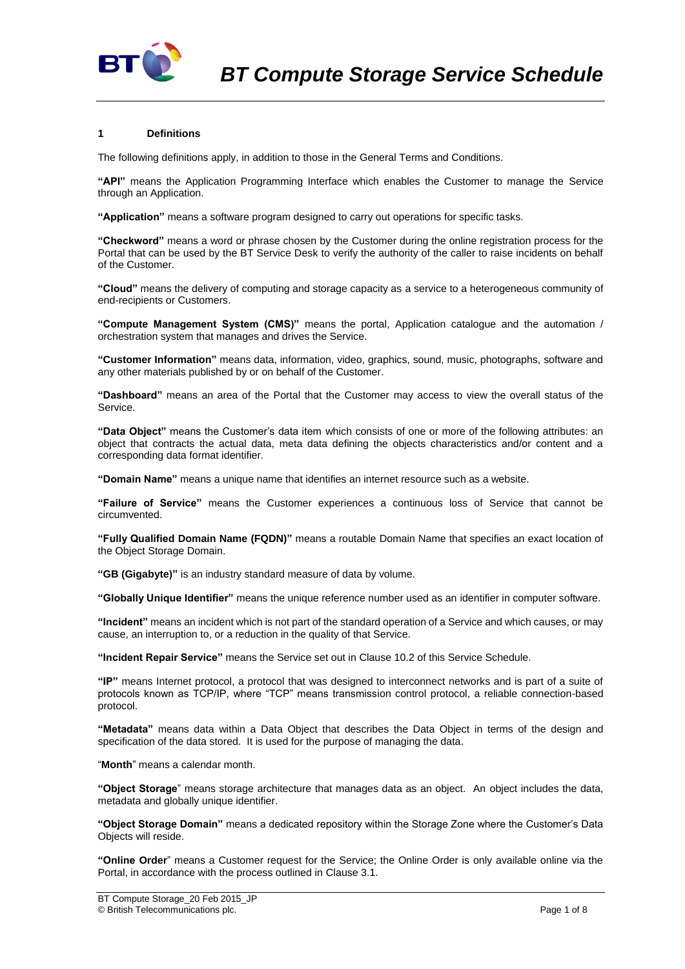

## **1 Definitions**

The following definitions apply, in addition to those in the General Terms and Conditions.

**"API"** means the Application Programming Interface which enables the Customer to manage the Service through an Application.

**"Application"** means a software program designed to carry out operations for specific tasks.

**"Checkword"** means a word or phrase chosen by the Customer during the online registration process for the Portal that can be used by the BT Service Desk to verify the authority of the caller to raise incidents on behalf of the Customer.

**"Cloud"** means the delivery of computing and storage capacity as a service to a heterogeneous community of end-recipients or Customers.

**"Compute Management System (CMS)"** means the portal, Application catalogue and the automation / orchestration system that manages and drives the Service.

**"Customer Information"** means data, information, video, graphics, sound, music, photographs, software and any other materials published by or on behalf of the Customer.

**"Dashboard"** means an area of the Portal that the Customer may access to view the overall status of the Service.

**"Data Object"** means the Customer's data item which consists of one or more of the following attributes: an object that contracts the actual data, meta data defining the objects characteristics and/or content and a corresponding data format identifier.

**"Domain Name"** means a unique name that identifies an internet resource such as a website.

**"Failure of Service"** means the Customer experiences a continuous loss of Service that cannot be circumvented.

**"Fully Qualified Domain Name (FQDN)"** means a routable Domain Name that specifies an exact location of the Object Storage Domain.

**"GB (Gigabyte)"** is an industry standard measure of data by volume.

**"Globally Unique Identifier"** means the unique reference number used as an identifier in computer software.

**"Incident"** means an incident which is not part of the standard operation of a Service and which causes, or may cause, an interruption to, or a reduction in the quality of that Service.

**"Incident Repair Service"** means the Service set out in Clause [10.2](#page-3-0) of this Service Schedule.

**"IP"** means Internet protocol, a protocol that was designed to interconnect networks and is part of a suite of protocols known as TCP/IP, where "TCP" means transmission control protocol, a reliable connection-based protocol.

**"Metadata"** means data within a Data Object that describes the Data Object in terms of the design and specification of the data stored. It is used for the purpose of managing the data.

"**Month**" means a calendar month.

**"Object Storage**" means storage architecture that manages data as an object. An object includes the data, metadata and globally unique identifier.

**"Object Storage Domain"** means a dedicated repository within the Storage Zone where the Customer's Data Objects will reside.

**"Online Order**" means a Customer request for the Service; the Online Order is only available online via the Portal, in accordance with the process outlined in Claus[e 3.1.](#page-1-0)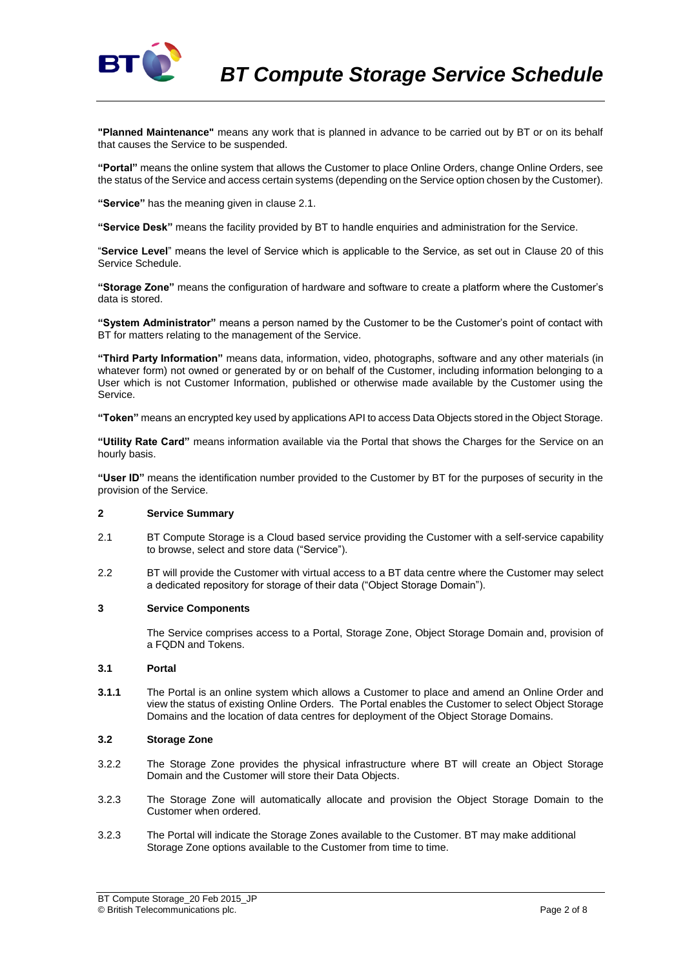

**"Planned Maintenance"** means any work that is planned in advance to be carried out by BT or on its behalf that causes the Service to be suspended.

**"Portal"** means the online system that allows the Customer to place Online Orders, change Online Orders, see the status of the Service and access certain systems (depending on the Service option chosen by the Customer).

**"Service"** has the meaning given in clause 2.1.

**"Service Desk"** means the facility provided by BT to handle enquiries and administration for the Service.

"**Service Level**" means the level of Service which is applicable to the Service, as set out in Clause 20 of this Service Schedule.

**"Storage Zone"** means the configuration of hardware and software to create a platform where the Customer's data is stored.

**"System Administrator"** means a person named by the Customer to be the Customer's point of contact with BT for matters relating to the management of the Service.

**"Third Party Information"** means data, information, video, photographs, software and any other materials (in whatever form) not owned or generated by or on behalf of the Customer, including information belonging to a User which is not Customer Information, published or otherwise made available by the Customer using the Service.

**"Token"** means an encrypted key used by applications API to access Data Objects stored in the Object Storage.

**"Utility Rate Card"** means information available via the Portal that shows the Charges for the Service on an hourly basis.

**"User ID"** means the identification number provided to the Customer by BT for the purposes of security in the provision of the Service.

## **2 Service Summary**

- 2.1 BT Compute Storage is a Cloud based service providing the Customer with a self-service capability to browse, select and store data ("Service").
- 2.2 BT will provide the Customer with virtual access to a BT data centre where the Customer may select a dedicated repository for storage of their data ("Object Storage Domain").

#### **3 Service Components**

The Service comprises access to a Portal, Storage Zone, Object Storage Domain and, provision of a FQDN and Tokens.

#### <span id="page-1-0"></span>**3.1 Portal**

**3.1.1** The Portal is an online system which allows a Customer to place and amend an Online Order and view the status of existing Online Orders. The Portal enables the Customer to select Object Storage Domains and the location of data centres for deployment of the Object Storage Domains.

#### **3.2 Storage Zone**

- 3.2.2 The Storage Zone provides the physical infrastructure where BT will create an Object Storage Domain and the Customer will store their Data Objects.
- 3.2.3 The Storage Zone will automatically allocate and provision the Object Storage Domain to the Customer when ordered.
- 3.2.3 The Portal will indicate the Storage Zones available to the Customer. BT may make additional Storage Zone options available to the Customer from time to time.

BT Compute Storage\_20 Feb 2015\_JP © British Telecommunications plc. Page 2 of 8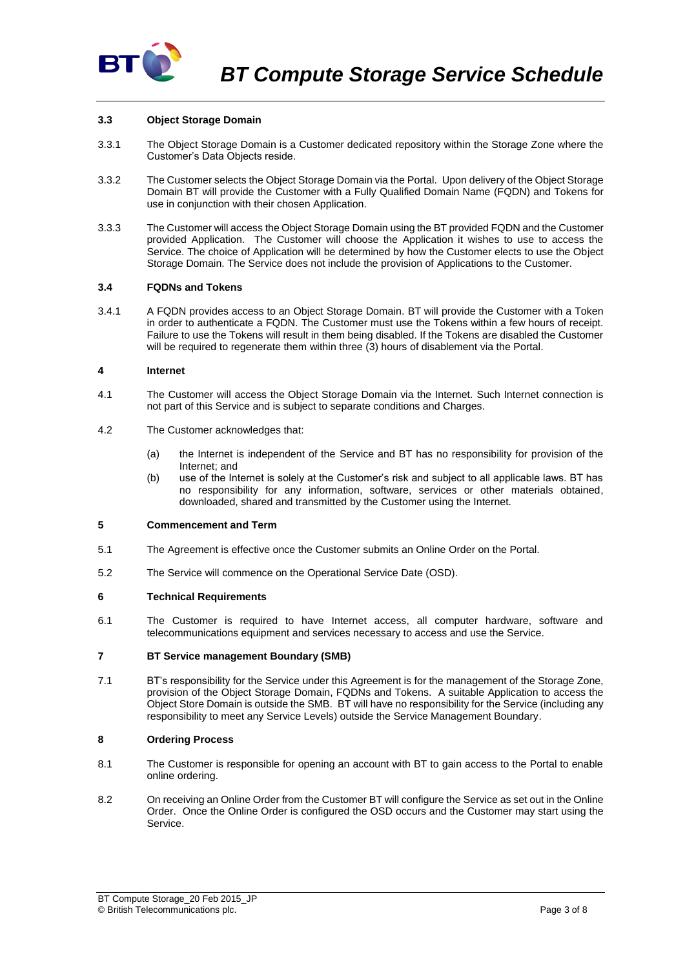

## **3.3 Object Storage Domain**

- 3.3.1 The Object Storage Domain is a Customer dedicated repository within the Storage Zone where the Customer's Data Objects reside.
- 3.3.2 The Customer selects the Object Storage Domain via the Portal. Upon delivery of the Object Storage Domain BT will provide the Customer with a Fully Qualified Domain Name (FQDN) and Tokens for use in conjunction with their chosen Application.
- 3.3.3 The Customer will access the Object Storage Domain using the BT provided FQDN and the Customer provided Application. The Customer will choose the Application it wishes to use to access the Service. The choice of Application will be determined by how the Customer elects to use the Object Storage Domain. The Service does not include the provision of Applications to the Customer.

#### **3.4 FQDNs and Tokens**

3.4.1 A FQDN provides access to an Object Storage Domain. BT will provide the Customer with a Token in order to authenticate a FQDN. The Customer must use the Tokens within a few hours of receipt. Failure to use the Tokens will result in them being disabled. If the Tokens are disabled the Customer will be required to regenerate them within three (3) hours of disablement via the Portal.

#### **4 Internet**

- 4.1 The Customer will access the Object Storage Domain via the Internet. Such Internet connection is not part of this Service and is subject to separate conditions and Charges.
- 4.2 The Customer acknowledges that:
	- (a) the Internet is independent of the Service and BT has no responsibility for provision of the Internet; and
	- (b) use of the Internet is solely at the Customer's risk and subject to all applicable laws. BT has no responsibility for any information, software, services or other materials obtained, downloaded, shared and transmitted by the Customer using the Internet.

## **5 Commencement and Term**

- 5.1 The Agreement is effective once the Customer submits an Online Order on the Portal.
- 5.2 The Service will commence on the Operational Service Date (OSD).

# **6 Technical Requirements**

6.1 The Customer is required to have Internet access, all computer hardware, software and telecommunications equipment and services necessary to access and use the Service.

#### **7 BT Service management Boundary (SMB)**

7.1 BT's responsibility for the Service under this Agreement is for the management of the Storage Zone, provision of the Object Storage Domain, FQDNs and Tokens. A suitable Application to access the Object Store Domain is outside the SMB. BT will have no responsibility for the Service (including any responsibility to meet any Service Levels) outside the Service Management Boundary.

# **8 Ordering Process**

- 8.1 The Customer is responsible for opening an account with BT to gain access to the Portal to enable online ordering.
- 8.2 On receiving an Online Order from the Customer BT will configure the Service as set out in the Online Order. Once the Online Order is configured the OSD occurs and the Customer may start using the Service.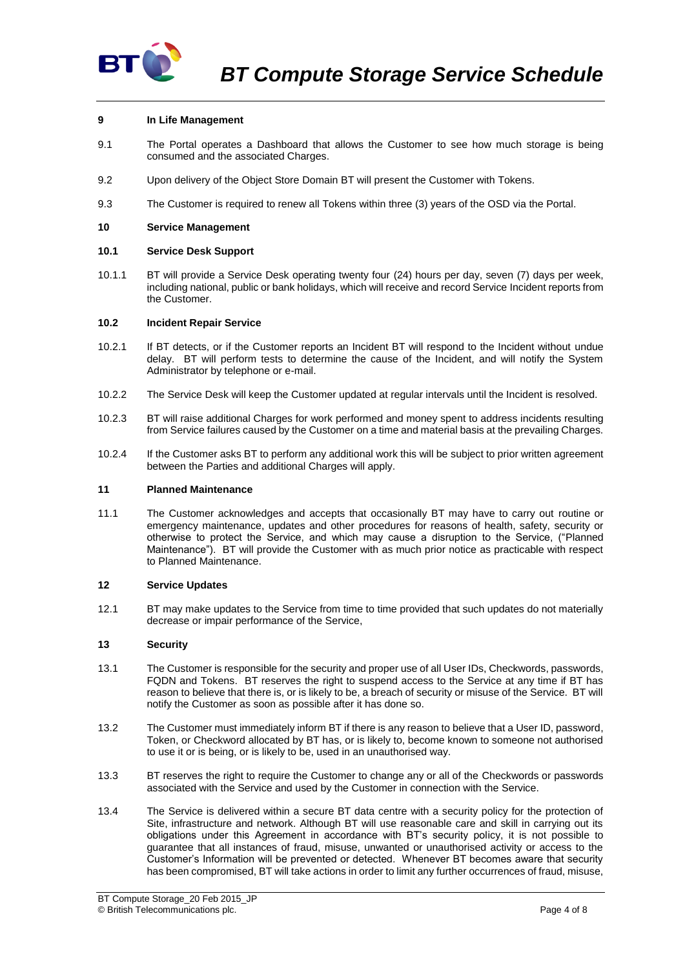

## **9 In Life Management**

- 9.1 The Portal operates a Dashboard that allows the Customer to see how much storage is being consumed and the associated Charges.
- 9.2 Upon delivery of the Object Store Domain BT will present the Customer with Tokens.
- 9.3 The Customer is required to renew all Tokens within three (3) years of the OSD via the Portal.

#### **10 Service Management**

#### **10.1 Service Desk Support**

10.1.1 BT will provide a Service Desk operating twenty four (24) hours per day, seven (7) days per week, including national, public or bank holidays, which will receive and record Service Incident reports from the Customer.

#### <span id="page-3-0"></span>**10.2 Incident Repair Service**

- 10.2.1 If BT detects, or if the Customer reports an Incident BT will respond to the Incident without undue delay. BT will perform tests to determine the cause of the Incident, and will notify the System Administrator by telephone or e-mail.
- 10.2.2 The Service Desk will keep the Customer updated at regular intervals until the Incident is resolved.
- 10.2.3 BT will raise additional Charges for work performed and money spent to address incidents resulting from Service failures caused by the Customer on a time and material basis at the prevailing Charges.
- 10.2.4 If the Customer asks BT to perform any additional work this will be subject to prior written agreement between the Parties and additional Charges will apply.

#### **11 Planned Maintenance**

11.1 The Customer acknowledges and accepts that occasionally BT may have to carry out routine or emergency maintenance, updates and other procedures for reasons of health, safety, security or otherwise to protect the Service, and which may cause a disruption to the Service, ("Planned Maintenance"). BT will provide the Customer with as much prior notice as practicable with respect to Planned Maintenance.

#### **12 Service Updates**

12.1 BT may make updates to the Service from time to time provided that such updates do not materially decrease or impair performance of the Service,

#### **13 Security**

- 13.1 The Customer is responsible for the security and proper use of all User IDs, Checkwords, passwords, FQDN and Tokens. BT reserves the right to suspend access to the Service at any time if BT has reason to believe that there is, or is likely to be, a breach of security or misuse of the Service. BT will notify the Customer as soon as possible after it has done so.
- 13.2 The Customer must immediately inform BT if there is any reason to believe that a User ID, password, Token, or Checkword allocated by BT has, or is likely to, become known to someone not authorised to use it or is being, or is likely to be, used in an unauthorised way.
- 13.3 BT reserves the right to require the Customer to change any or all of the Checkwords or passwords associated with the Service and used by the Customer in connection with the Service.
- 13.4 The Service is delivered within a secure BT data centre with a security policy for the protection of Site, infrastructure and network. Although BT will use reasonable care and skill in carrying out its obligations under this Agreement in accordance with BT's security policy, it is not possible to guarantee that all instances of fraud, misuse, unwanted or unauthorised activity or access to the Customer's Information will be prevented or detected. Whenever BT becomes aware that security has been compromised, BT will take actions in order to limit any further occurrences of fraud, misuse,

BT Compute Storage\_20 Feb 2015\_JP © British Telecommunications plc. Page 4 of 8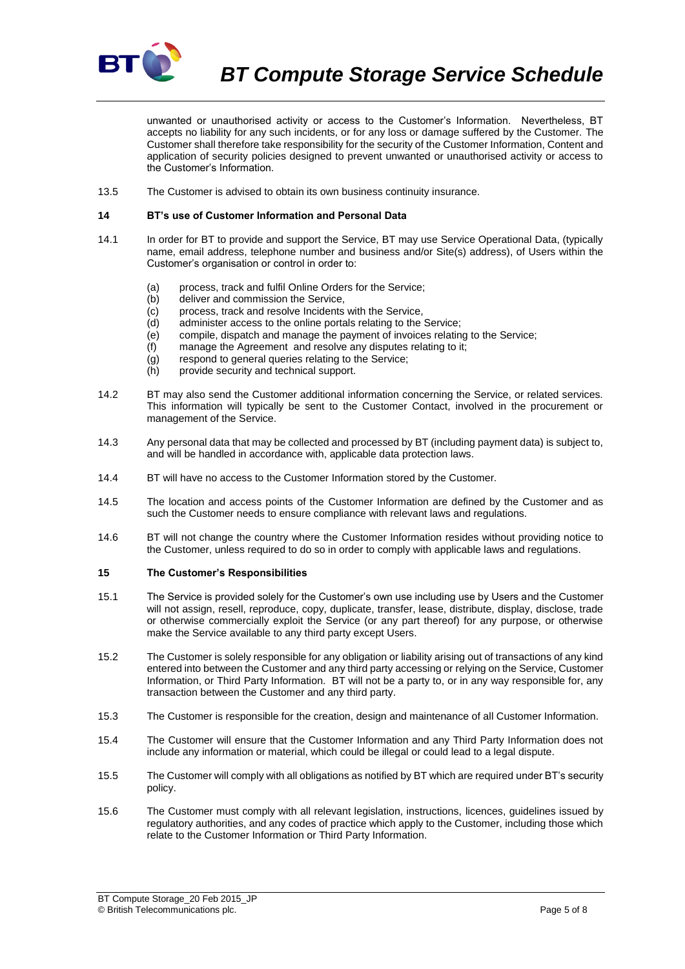

*BT Compute Storage Service Schedule*

unwanted or unauthorised activity or access to the Customer's Information. Nevertheless, BT accepts no liability for any such incidents, or for any loss or damage suffered by the Customer. The Customer shall therefore take responsibility for the security of the Customer Information, Content and application of security policies designed to prevent unwanted or unauthorised activity or access to the Customer's Information.

13.5 The Customer is advised to obtain its own business continuity insurance.

### **14 BT's use of Customer Information and Personal Data**

- 14.1 In order for BT to provide and support the Service, BT may use Service Operational Data, (typically name, email address, telephone number and business and/or Site(s) address), of Users within the Customer's organisation or control in order to:
	- (a) process, track and fulfil Online Orders for the Service;
	- (b) deliver and commission the Service,
	- (c) process, track and resolve Incidents with the Service,
	- (d) administer access to the online portals relating to the Service;
	- (e) compile, dispatch and manage the payment of invoices relating to the Service;
	- (f) manage the Agreement and resolve any disputes relating to it;
	- (g) respond to general queries relating to the Service;
	- (h) provide security and technical support.
- 14.2 BT may also send the Customer additional information concerning the Service, or related services. This information will typically be sent to the Customer Contact, involved in the procurement or management of the Service.
- 14.3 Any personal data that may be collected and processed by BT (including payment data) is subject to, and will be handled in accordance with, applicable data protection laws.
- 14.4 BT will have no access to the Customer Information stored by the Customer.
- 14.5 The location and access points of the Customer Information are defined by the Customer and as such the Customer needs to ensure compliance with relevant laws and regulations.
- 14.6 BT will not change the country where the Customer Information resides without providing notice to the Customer, unless required to do so in order to comply with applicable laws and regulations.

### <span id="page-4-0"></span>**15 The Customer's Responsibilities**

- 15.1 The Service is provided solely for the Customer's own use including use by Users and the Customer will not assign, resell, reproduce, copy, duplicate, transfer, lease, distribute, display, disclose, trade or otherwise commercially exploit the Service (or any part thereof) for any purpose, or otherwise make the Service available to any third party except Users.
- 15.2 The Customer is solely responsible for any obligation or liability arising out of transactions of any kind entered into between the Customer and any third party accessing or relying on the Service, Customer Information, or Third Party Information. BT will not be a party to, or in any way responsible for, any transaction between the Customer and any third party.
- 15.3 The Customer is responsible for the creation, design and maintenance of all Customer Information.
- 15.4 The Customer will ensure that the Customer Information and any Third Party Information does not include any information or material, which could be illegal or could lead to a legal dispute.
- 15.5 The Customer will comply with all obligations as notified by BT which are required under BT's security policy.
- 15.6 The Customer must comply with all relevant legislation, instructions, licences, guidelines issued by regulatory authorities, and any codes of practice which apply to the Customer, including those which relate to the Customer Information or Third Party Information.

BT Compute Storage\_20 Feb 2015\_JP © British Telecommunications plc. Page 5 of 8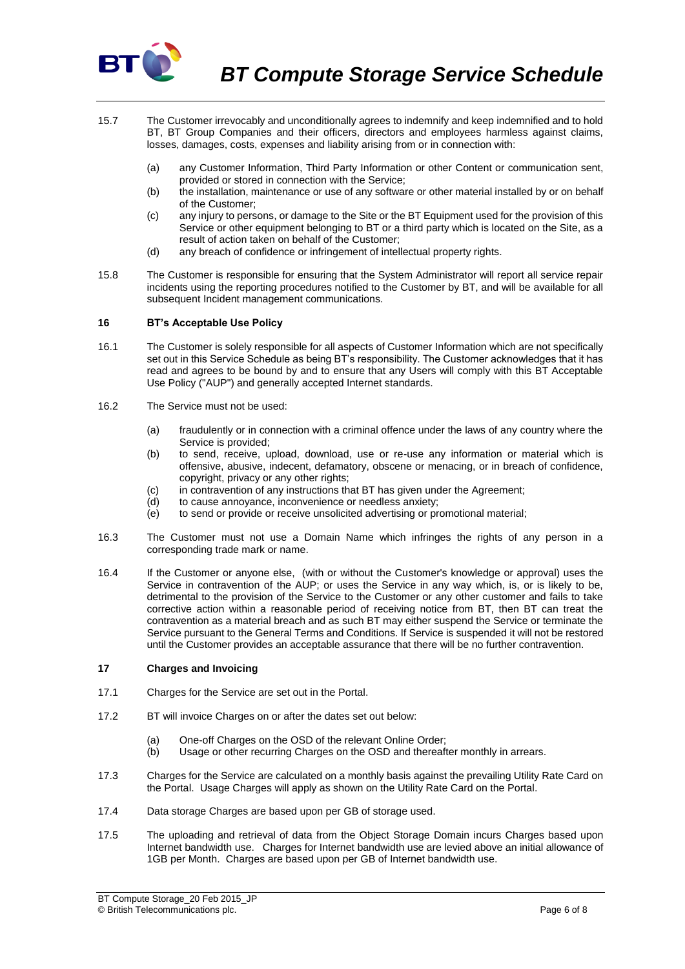

- 15.7 The Customer irrevocably and unconditionally agrees to indemnify and keep indemnified and to hold BT, BT Group Companies and their officers, directors and employees harmless against claims, losses, damages, costs, expenses and liability arising from or in connection with:
	- (a) any Customer Information, Third Party Information or other Content or communication sent, provided or stored in connection with the Service;
	- (b) the installation, maintenance or use of any software or other material installed by or on behalf of the Customer;
	- (c) any injury to persons, or damage to the Site or the BT Equipment used for the provision of this Service or other equipment belonging to BT or a third party which is located on the Site, as a result of action taken on behalf of the Customer;
	- (d) any breach of confidence or infringement of intellectual property rights.
- 15.8 The Customer is responsible for ensuring that the System Administrator will report all service repair incidents using the reporting procedures notified to the Customer by BT, and will be available for all subsequent Incident management communications.

## **16 BT's Acceptable Use Policy**

- 16.1 The Customer is solely responsible for all aspects of Customer Information which are not specifically set out in this Service Schedule as being BT's responsibility. The Customer acknowledges that it has read and agrees to be bound by and to ensure that any Users will comply with this BT Acceptable Use Policy ("AUP") and generally accepted Internet standards.
- 16.2 The Service must not be used:
	- (a) fraudulently or in connection with a criminal offence under the laws of any country where the Service is provided;
	- (b) to send, receive, upload, download, use or re-use any information or material which is offensive, abusive, indecent, defamatory, obscene or menacing, or in breach of confidence, copyright, privacy or any other rights;
	- (c) in contravention of any instructions that BT has given under the Agreement;
	- (d) to cause annoyance, inconvenience or needless anxiety;
	- $\overrightarrow{e}$  to send or provide or receive unsolicited advertising or promotional material;
- 16.3 The Customer must not use a Domain Name which infringes the rights of any person in a corresponding trade mark or name.
- 16.4 If the Customer or anyone else, (with or without the Customer's knowledge or approval) uses the Service in contravention of the AUP; or uses the Service in any way which, is, or is likely to be, detrimental to the provision of the Service to the Customer or any other customer and fails to take corrective action within a reasonable period of receiving notice from BT, then BT can treat the contravention as a material breach and as such BT may either suspend the Service or terminate the Service pursuant to the General Terms and Conditions. If Service is suspended it will not be restored until the Customer provides an acceptable assurance that there will be no further contravention.

#### **17 Charges and Invoicing**

- 17.1 Charges for the Service are set out in the Portal.
- 17.2 BT will invoice Charges on or after the dates set out below:
	- (a) One-off Charges on the OSD of the relevant Online Order:
	- (b) Usage or other recurring Charges on the OSD and thereafter monthly in arrears.
- 17.3 Charges for the Service are calculated on a monthly basis against the prevailing Utility Rate Card on the Portal. Usage Charges will apply as shown on the Utility Rate Card on the Portal.
- 17.4 Data storage Charges are based upon per GB of storage used.
- 17.5 The uploading and retrieval of data from the Object Storage Domain incurs Charges based upon Internet bandwidth use. Charges for Internet bandwidth use are levied above an initial allowance of 1GB per Month. Charges are based upon per GB of Internet bandwidth use.

BT Compute Storage\_20 Feb 2015\_JP © British Telecommunications plc. Page 6 of 8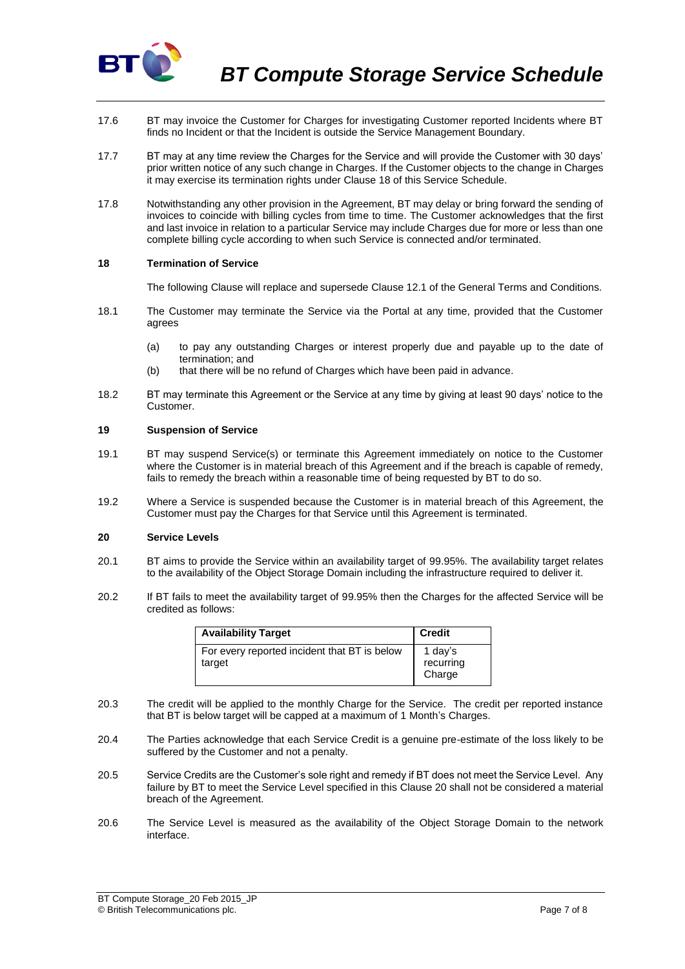

- 17.6 BT may invoice the Customer for Charges for investigating Customer reported Incidents where BT finds no Incident or that the Incident is outside the Service Management Boundary.
- 17.7 BT may at any time review the Charges for the Service and will provide the Customer with 30 days' prior written notice of any such change in Charges. If the Customer objects to the change in Charges it may exercise its termination rights under Clause 18 of this Service Schedule.
- 17.8 Notwithstanding any other provision in the Agreement, BT may delay or bring forward the sending of invoices to coincide with billing cycles from time to time. The Customer acknowledges that the first and last invoice in relation to a particular Service may include Charges due for more or less than one complete billing cycle according to when such Service is connected and/or terminated.

#### **18 Termination of Service**

The following Clause will replace and supersede Clause 12.1 of the General Terms and Conditions.

- 18.1 The Customer may terminate the Service via the Portal at any time, provided that the Customer agrees
	- (a) to pay any outstanding Charges or interest properly due and payable up to the date of termination; and
	- (b) that there will be no refund of Charges which have been paid in advance.
- 18.2 BT may terminate this Agreement or the Service at any time by giving at least 90 days' notice to the Customer.

#### **19 Suspension of Service**

- 19.1 BT may suspend Service(s) or terminate this Agreement immediately on notice to the Customer where the Customer is in material breach of this Agreement and if the breach is capable of remedy, fails to remedy the breach within a reasonable time of being requested by BT to do so.
- 19.2 Where a Service is suspended because the Customer is in material breach of this Agreement, the Customer must pay the Charges for that Service until this Agreement is terminated.

## <span id="page-6-0"></span>**20 Service Levels**

- 20.1 BT aims to provide the Service within an availability target of 99.95%. The availability target relates to the availability of the Object Storage Domain including the infrastructure required to deliver it.
- 20.2 If BT fails to meet the availability target of 99.95% then the Charges for the affected Service will be credited as follows:

| <b>Availability Target</b>                             | <b>Credit</b>                  |
|--------------------------------------------------------|--------------------------------|
| For every reported incident that BT is below<br>target | 1 day's<br>recurring<br>Charge |

- 20.3 The credit will be applied to the monthly Charge for the Service. The credit per reported instance that BT is below target will be capped at a maximum of 1 Month's Charges.
- 20.4 The Parties acknowledge that each Service Credit is a genuine pre-estimate of the loss likely to be suffered by the Customer and not a penalty.
- 20.5 Service Credits are the Customer's sole right and remedy if BT does not meet the Service Level. Any failure by BT to meet the Service Level specified in this Clause [20](#page-6-0) shall not be considered a material breach of the Agreement.
- 20.6 The Service Level is measured as the availability of the Object Storage Domain to the network interface.

BT Compute Storage\_20 Feb 2015\_JP © British Telecommunications plc. Page 7 of 8